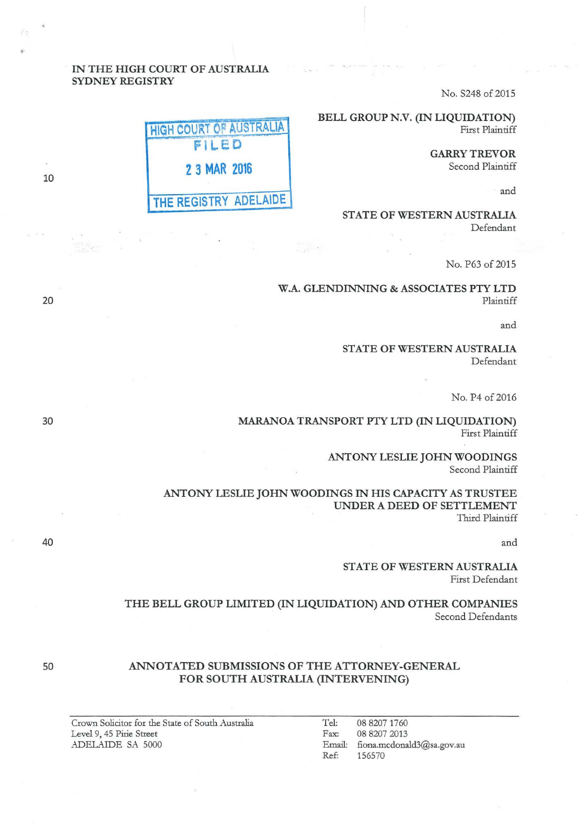# IN THE HIGH COURT OF AUSTRALIA SYDNEY REGISTRY

No. S248 of 2015

BELL GROUP N.V. (IN LIQUIDATION) First Plaintiff

> GARRY TREVOR Second Plaintiff

> > and

STATE OF WESTERN AUSTRALIA Defendant

No. P63 of 2015

W.A. GLENDINNING & ASSOCIATES PTY LTD Plaintiff

and

STATE OF WESTERN AUSTRALIA Defendant

No. P4 of 2016

MARANOA TRANSPORT PTY LTD (IN LIQUIDATION) First Plaintiff

> ANTONY LESLIE JOHN WOODINGS Second Plaintiff

ANTONY LESLIE JOHN WOODINGS IN HIS CAPACITY AS TRUSTEE UNDER A DEED OF SETTLEMENT Third Plaintiff

and

STATE OF WESTERN AUSTRALIA First Defendant

THE BELL GROUP LIMITED (IN LIQUIDATION) AND OTHER COMPANIES Second Defendants

## ANNOTATED SUBMISSIONS OF THE ATTORNEY-GENERAL FOR SOUTH AUSTRALIA (INTERVENING)

Tel: 08 8207 1760<br>Fax: 08 8207 2013 08 8207 2013 Email: fiona.mcdonald3@sa.gov.au<br>Ref: 156570 Re£: 156570

HIGH COURT OF AUSTRALIA 2 3 MAR 2016 THE REGISTRY ADELAIDE

20

10

•

30

40

50

Crown Solicitor for the State of South Australia Level 9, 45 Pirie Street ADELAIDE SA 5000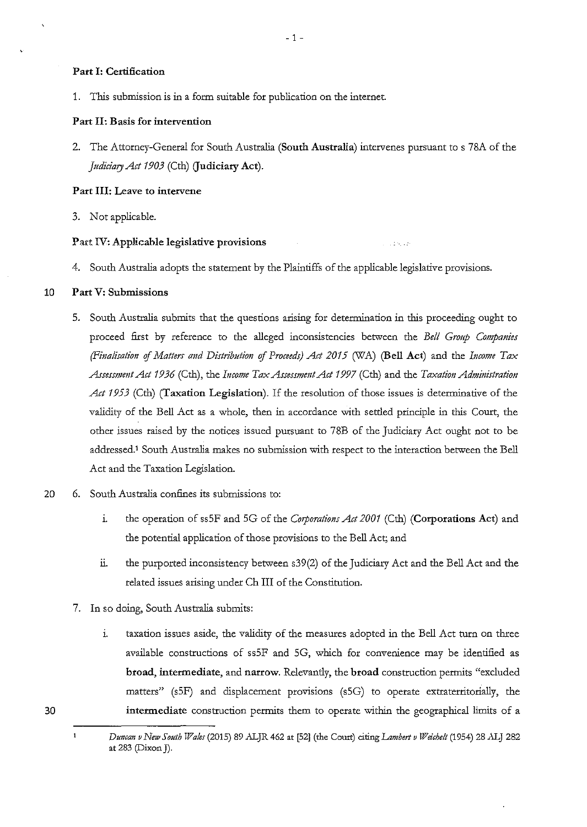### **Part I: Certification**

1. This submission is in a form suitable for publication on the internet.

### **Part II: Basis for intervention**

2. The Attorney-General for South Australia **(South Australia)** intervenes pursuant to s 78A of the *Judiciary Act 1903* (Cth) **(Judiciary Act).** 

## **Part III: Leave to intervene**

3. Not applicable.

### **Part IV: Applicable legislative provisions**

4. South Australia adopts the statement by the Plaintiffs of the applicable legislative provisions.

 $\sim 100$  km s  $^2$ 

#### **10 Part V: Submissions**

- 5. South Australia submits that the questions arising for determination in this proceeding ought to proceed first by reference to the alleged inconsistencies between the *Bell Group Companies (Finalisation of Matters and Distribution of Proceeds) Act 2015* (WA) *(Bell Act)* and the *Income Tax AssemmntAct 1936* (Cth), the *Income TaxAssessmmtAct 1997* (Cth) and the *Taxation Administration Act 1953* (Cth) **(Taxation Legislation).** If the resolution of those issues is determinative of the validity of the Bell Act as a whole, then in accordance with settled principle in this Court, the other issues raised by the notices issued pursuant to 78B of the Judiciary Act ought not to be addressed.1 South Australia makes no submission with respect to the interaction between the Bell Act and the Taxation Legislation.
- 20 6. South Australia confines its submissions to:
	- 1. the operation of ssSF and SG of the *Corporations Act 2001* (Cth) **(Corporations Act)** and the potential application of those provisions to the Bell Act; and
	- 11. the purported inconsistency between s39(2) of the Judiciary Act and the Bell Act and the related issues arising under Ch **III** of the Constitution.
	- **7.** In so doing, South Australia submits:
		- 1. taxation issues aside, the validity of the measures adopted in the Bell Act turn on three available constructions of ssSF and SG, which for convenience may be identified as **broad, intermediate,** and **narrow.** Relevantly, the **broad** construction permits "excluded matters" (sSF) and displacement provisions (sSG) to operate extraterritorially, the **intermediate** construction permits them to operate within the geographical limits of a

 $\mathbf 1$ *Duncan v New South Wales* (2015) 89 ALJR 462 at [52] (the Court) citing *Lambert v Weichelt* (1954) 28 ALJ 282 at 283 (Dixon J).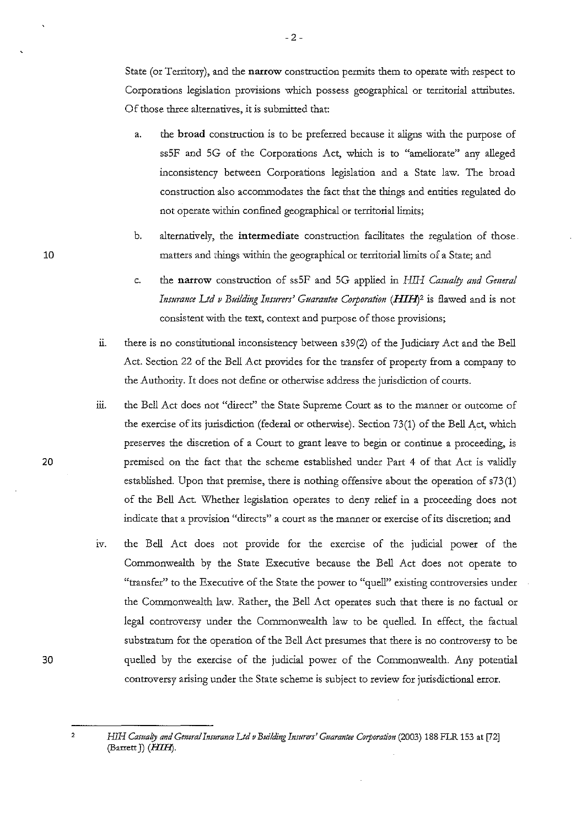State (or Territory), and the **narrow** construction permits them to operate with respect to Corporations legislation provisions which possess geographical or territorial attributes. Of those three alternatives, it is submitted that:

- a. the **broad** construction is to be preferred because it aligns with the purpose of ssSF and SG of the Corporations Act, which is to "ameliorate" any alleged inconsistency between Corporations legislation and a State law. The broad construction also accommodates the fact that the things and entities regulated do not operate within confined geographical or territorial limits;
- b. alternatively, the **intermediate** construction facilitates the regulation of those. matters and things within the geographical or territorial limits of a State; and
- c. the **narrow** construction of ssSF and SG applied in Hill *Casualty and General*  Insurance Ltd v Building Insurers' Guarantee Corporation (HIH)<sup>2</sup> is flawed and is not consistent with the text, context and purpose of those provisions;
- ii. there is no constitutional inconsistency between s39(2) of the Judiciary Act and the Bell Act. Section 22 of the Bell Act provides for the transfer of property from a company to the Authority. It does not define or otherwise address the jurisdiction of courts.
- iii. the Bell Act does not "direct" the State Supreme Court as to the manner or outcome of the exercise of its jurisdiction (federal or otherwise). Section 73(1) of the Bell Act, which preserves the discretion of a Court to grant leave to begin or continue a proceeding, is premised on the fact that the scheme established under Part 4 of that Act is validly established. Upon that premise, there is nothing offensive about the operation of s73(1) of the Bell Act. Whether legislation operates to deny relief in a proceeding does not **indicate that a provision "directs" a court as the manner or exercise of its discretion; and**
- iv. the Bell Act does not provide for the exercise of the judicial power of the Commonwealth by the State Executive because the Bell Act does not operate to "transfer" to the Executive of the State the power to "quell" existing controversies under the Commonwealth law. Rather, the Bell Act operates such that there is no factual or legal controversy under the Commonwealth law to be quelled. In effect, the factual substratum for the operation of the Bell Act presumes that there is no controversy to be quelled by the exercise of the judicial power of the Commonwealth. Any potential controversy arising under the State scheme is subject to review for jurisdictional error.

20

10

30

*HIH Casualry and Genera/Insurance Ltd v Building Insurers' Guarautee Coporation* (2003) 188 FLR 153 at [72] (Barrett J) *(HIHJ.*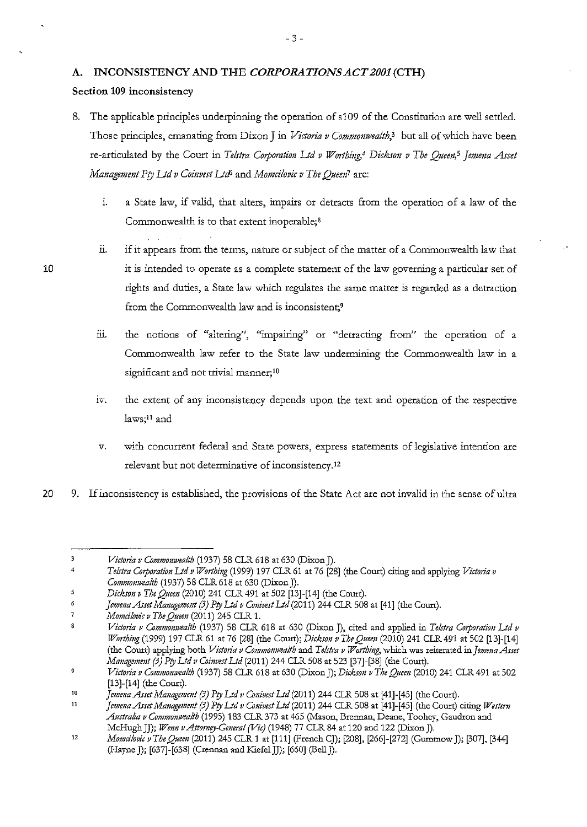# **A. INCONSISTENCY AND THE** *CORPORATIONS ACT 2001* **(CTH)**

## **Section 109 inconsistency**

- 8. The applicable principles underpinning the operation of s 109 of the Constitution are well settled. Those principles, emanating from Dixon J in *Victoria v Commonwealth,'* but all of which have been re-articulated by the Court in *Telstra Corporation Ltd v Worthing*,<sup>4</sup> Dickson v The Oueen,<sup>5</sup> Jemena Asset *Management Pty Ltd v Coinvest Ltd*<sup>5</sup> and *Momcilovic v The Queen<sup>1</sup> are:* 
	- 1. a State law, if valid, that alters, impairs or detracts from the operation of a law of the Commonwealth is to that extent inoperable;<sup>8</sup>
	- 11. if it appears from the terms, nature or subject of the matter of a Commonwealth law that it is intended to operate as a complete statement of the law governing a particular set of rights and duties, a State law which regulates the same matter is regarded as a detraction from the Commonwealth law and is inconsistent;<sup>9</sup>
	- iii. the notions of "altering", "impairing" or "detracting from" the operation of a Commonwealth law refer to the State law underminiog the Commonwealth law in a significant and not trivial manner; $10$
	- iv. the extent of any inconsistency depends upon the text and operation of the respective **laws;11 and**
	- v. with concurrent federal and State powers, express statements of legislative intention are relevant but not determinative of inconsistency.<sup>12</sup>
- 20 9. If inconsistency is established, the provisions of the State Act are not invalid in the sense of ultra

 $\overline{\mathbf{3}}$ *Victoria v Commonwealth* (1937) 58 CLR 618 at 630 (Dixon J).

<sup>4</sup>  *Telstra Corporation Lid v Worthing* (1999) 197 CLR 61 at 76 [28] (the Court) citing and applying *Victoria v Commonwealth* (1937) 58 CLR 618 at 630 (Dixon J).

 $\ddot{\mathbf{5}}$ *Dicks01t v The Queen* (2010) 241 CLR 491 at 502 [13]-[14] (the Court).

 $\ddot{\rm o}$ Jemena Asset Management (3) Pty Ltd v Conivest Ltd (2011) 244 CLR 508 at [41] (the Court).

<sup>7</sup>  *Momcilovic v The Queen* (2011) 245 CLR 1.

 $\bf{8}$ *Victoria v Commomvealth* (1937) 58 CLR 618 at 630 (Dixon J), cited and applied in *Telstra Corporation Ltd v Worthil{g* (1999) 197 CLR 61 at 76 [28] (the Court); *Dickson v The Quem* (2010) 241 CLR 491 at 502 [13]-[14] (the Court) applying both *Victoria v Commonwealth* and *Telstra v Worthing,* which was reiterated in *]emma hset Management (3) Pty Ltd v Coinvest Ltd (2011) 244 CLR 508 at 523 [37]*-[38] (the Court).

 $\overline{9}$ *Victoria v Commomvealth* (1937) 58 CLR 618 at 630 (DixonJ); *Dickson v The Queen* (2010) 241 CLR 491 at 502 [13]-[14] (the Court).

<sup>10</sup>  *Jemena Asset Managemmt (3) Pty Ltd v Conivest Ltd* (2011) 244 CLR 508 at [41]-[45] (the Court).

<sup>11</sup>  *Jemena Asset Managemmt (3) Pty Ltd v Conivest Ltd* (2011) 244 CLR 508 at [41]-[45] (the Court) citing *Westem*  Australia v Commonwealth (1995) 183 CLR 373 at 465 (Mason, Brennan, Deane, Toohey, Gaudron and McHughJJ); *Wenn vAttomey-General (Vie)* (1948) 77 CLR 84 at 120 and 122 (DixonJ).

*<sup>12</sup>  Momcilovic v The Queen* (2011) 245 CLR 1 at [111] (French CJ); [208], [266]-[272] (Gummow J); [307], [344] (Hayne J); [637]-[638] (Crennan and KiefelJJ); [660] (Bell]).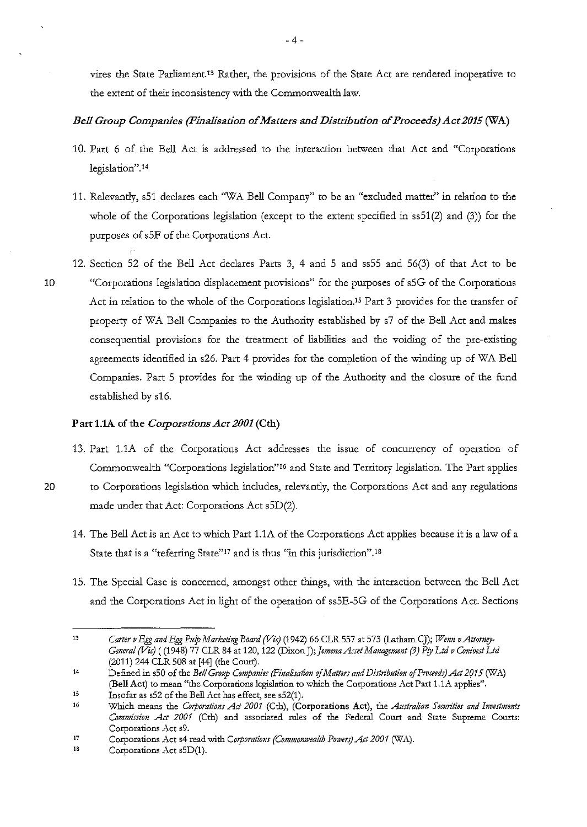vires the State Parliament.13 Rather, the provisions of the State Act are rendered inoperative to the extent of their inconsistency with the Commonwealth law.

# *Bell Group Companies (Finalisation of Matters and Distribution of Proceeds) Act 2015* (WA)

- 10. Part 6 of the Bell Act is addressed to the interaction between that Act and "Corporations legislation".<sup>14</sup>
- 11. Relevantly, s51 declares each ''WA Bell Company" to be an "excluded matter" in relation to the whole of the Corporations legislation (except to the extent specified in ss51(2) and (3)) for the purposes of sSF of the Corporations Act.
- 12. Section 52 of the Bell Act declares Parts 3, 4 and 5 and ssSS and 56(3) of that Act to be 10 "Corporations legislation displacement provisions" for the purposes of sSG of the Corporations Act in relation to the whole of the Corporations legislation.<sup>15</sup> Part 3 provides for the transfer of property of WA Bell Companies to the Authority established by s7 of the Bell Act and makes consequential provisions for the treatment of liabilities and the voiding of the pre-existing agreements identified in s26. Part 4 provides for the completion of the winding up of WA Bell Companies. Part 5 provides for the winding up of the Authority and the closure of the fund established by s16.

## Part 1.1A of the *Corporations Act 2001* (Cth)

- 13. Part 1.1A of the Corporations Act addresses the issue of concurrency of operation of Commonwealth "Corporations legislation"16 and State and Territory legislation. The Part applies 20 to Corporations legislation which includes, relevantly, the Corporations Act and any regulations made under that Act: Corporations Act s5D(2).
	- 14. The Bell Act is an Act to which Part 1.1A of the Corporations Act applies because it is a law of a State that is a "referring State"<sup>17</sup> and is thus "in this jurisdiction".<sup>18</sup>
	- 15. The Special Case is concerned, amongst other things, with the interaction between the Bell Act and the Corporations Act in light of the operation of ssSE-SG of the Corporations Act. Sections

<sup>13</sup>  Carter v Egg and Egg Pulp Marketing Board (Vic) (1942) 66 CLR 557 at 573 (Latham CJ); *Wenn v Attorney*-*General (Vic)* ( (1948) 77 CLR 84 at 120, 122 (Dixon J); Jemena Asset Management (3) Pty Ltd v Conivest Ltd (2011) 244 CLR 508 at [44] (the Court).

<sup>14</sup>  Defined in s50 of the *Bell Group Companies (Finalisation of Matters and Distribution of Proceeds) Act 2015 (WA)* (Bell Act) to mean "the Corporations legislation to which the Corporations Act Part 1.1A applies".

 $15$ Insofar as s52 of the Bell Act has effect, see s52(1).

<sup>1</sup>G Which means the *Corporations Act 2001* (Cth), (Corporations Act), the *Australian Securities and Investments Commission Act 2001* (Cth) and associated rules of the Federal Court and State Supreme Courts: **Corporations Act s9.** 

<sup>17</sup>  Corporations Act s4 read with *Corporations (Commonwealth Powers) Act 2001* (WA).

<sup>18</sup>  Corporations Act s5D(1).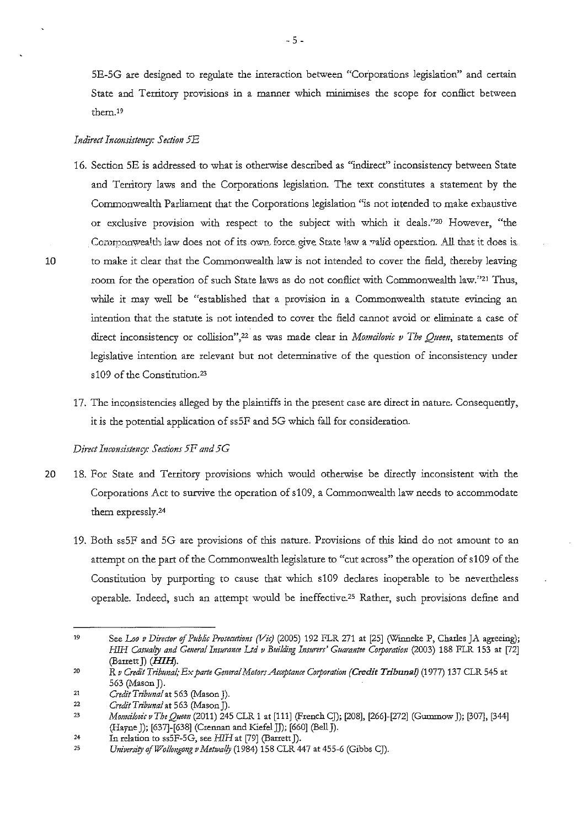5E-5G are designed to regulate the interaction between "Corporations legislation" and certain State and Territory provisions in a manner wbich minimises the scope for conflict between them.19

#### *Indirect Inconsistenry: Section 5E*

- 16. Section SE is addressed to what is otherwise described as "indirect" inconsistency between State and Territory laws and the Corporations legislation. The text constitutes a statement by the Commonwealth Parliament that the Corporations legislation "is not intended to make exhaustive or exclusive provision with respect to the subject with wbich it deals."20 However, "the Commonwealth law does not of its own. force give State law a ralid operation. All that it does is. 10 to make it clear that the Commonwealth law is not intended to cover the field, thereby leaviog room for the operation of such State laws as do not conflict with Commonwealth law."21 Thus, while it may well be "established that a provision in a Commonwealth statute evincing an intention that the statute is not intended to cover the field cannot avoid or eliminate a case of **direct inconsistency or collision" ,22 as was made clear in** *Momcilovic v Tbe Quem,* **statements of**  legislative intention are relevant but not detenninative of the question of inconsistency under s109 of the Constitution.<sup>23</sup>
	- 17. The inconsistencies alleged by the plaintiffs in the present case are direct in nature. Consequently, it is the potential application of ss SF and SG wbich fall for consideration.

#### *Direct Intonsistenry: Sections 5F and 5G*

- 20 18. For State and Territory provisions wbich would otherwise be directly inconsistent with the Corporations Act to survive the operation of s 109, a Commonwealth law needs to accommodate them expressly.24
	- 19. Both ssSF and SG are provisions of this nature. Provisions of this kiod do not amount to an attempt on the part of the Commonwealth legislature to "cut across" the operation of s109 of the Constitution by purporting to cause that which s109 declares inoperable to be nevertheless operable. Indeed, such an attempt would be ineffective.<sup>25</sup> Rather, such provisions define and

<sup>19</sup> See *Loo v Director of Public Prosecutions (Vic)* (2005) 192 FLR 271 at [25] (Winneke P, Charles JA agreeing); *HIH Casualty and General Insurance Ltd v Building Insurers' Guarantee Corporation (2003) 188 FLR 153 at [72]* (Barrett J) *(HIHJ.* 

<sup>20</sup> R *v Credit Tribunal, Ex parte General Motors Acceptance Corporation (Credit Tribunal)* (1977) 137 CLR 545 at 563 (Mason J).

<sup>&</sup>lt;sup>21</sup> *Credit Tribunal* at 563 (Mason J).

<sup>22</sup>*Credit Tribuna/at* 563 (Mason]).

<sup>23</sup>*Momci/ovic v The Queen* (2011) 245 CLR 1 at [111] (French CJ); [208], [266]-[272] (Gummow J); [307], [344] (Hayne J); [637]-[638] (Crennan and KiefelJJ); [660] (Bell]).

<sup>24</sup> In relation to ss5F-5G, see *HJH* at [79] (Barrett J).

<sup>&</sup>lt;sup>25</sup> *University of Wollongong v Metwally* (1984) 158 CLR 447 at 455-6 (Gibbs CJ).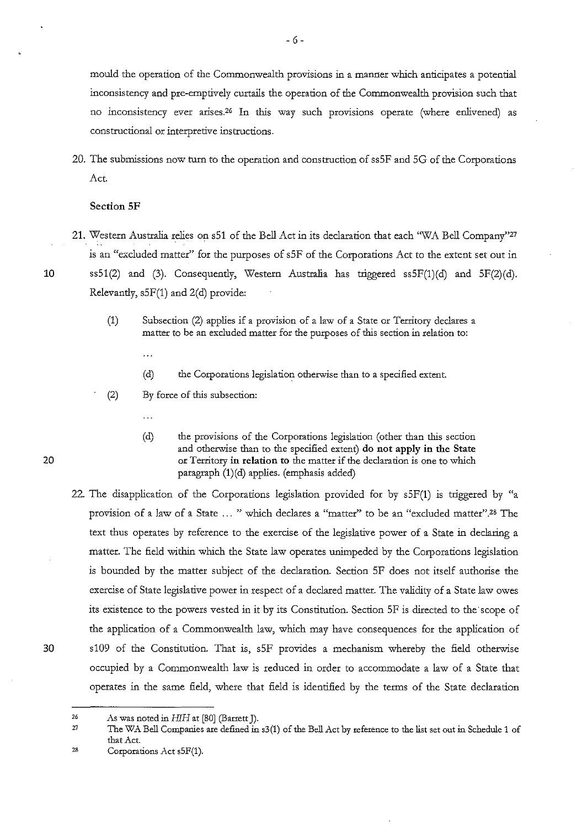mould the operation of the Commonwealth provisions in a manner which anticipates a potential inconsistency and pre-emptively curtails the operation of the Commonwealth provision such that no inconsistency ever arises.26 In this way such provisions operate (where enlivened) as constructional or interpretive instructions.

20. The submissions now turn to the operation and construction of ssSF and SG of the Corporations Act.

### **Section SF**

- 21. Western Australia relies on sSl of the Bell Act in its declaration that each 'WA Bell Company"27 is an "excluded matter" for the purposes of sSF of the Corporations Act to the extent set out in **10** ss51(2) and (3). Consequently, Western Australia has triggered ssSF(l)(d) and SF(2)(d). Relevantly,  $s5F(1)$  and  $2(d)$  provide:
	- (1) Subsection (2) applies if a provision of a law of a State or Territory declares a matter to be an excluded matter for the purposes of this section in relation to:
		- $\ddotsc$
		- (d) the Corporations legislation otherwise than to a specified extent.
	- (2) By force of this subsection:
		- $\ddotsc$

(d) the provisions of the Corporations legislation (other than this section and otherwise than to the specified extent) **do not apply in the State**  or Territory **in relation to** the matter if the declaration is one to which paragraph **(l)(d)** applies. (emphasis added)

- 22. The disapplication of the Corporations legislation provided for by sSF(l) is triggered by "a provision of a law of a State ... " which declares a "matter" to be an "excluded matter".<sup>28</sup> The text thus operates by reference to the exercise of the legislative power of a State in declaring a matter. The field within which the State law operates unimpeded by the Corporations legislation is bounded by the matter subject of the declaration. Section SF does not itself authorise the exercise of State legislative power in respect of a declared matter. The validity of a State law owes its existence to the powers vested in it by its Constitution. Section SF is directed to the scope of the application of a Commonwealth law, which may have consequences for the application of 30 s109 of the Constitution. That is, sSF provides a mechanism whereby the field otherwise occupied by a Commonwealth law is reduced in order to accommodate a law of a State that operates in the same field, where that field is identified by the terms of the State declaration
- 

- 27 The WA Bell Companies are defined in s3(1) of the Bell Act by reference to the list set out in Schedule 1 of that Act.
- 28 Corporations Act s5F(1).

<sup>26</sup>  .As was noted in *HJH* at [80] (Barrett J).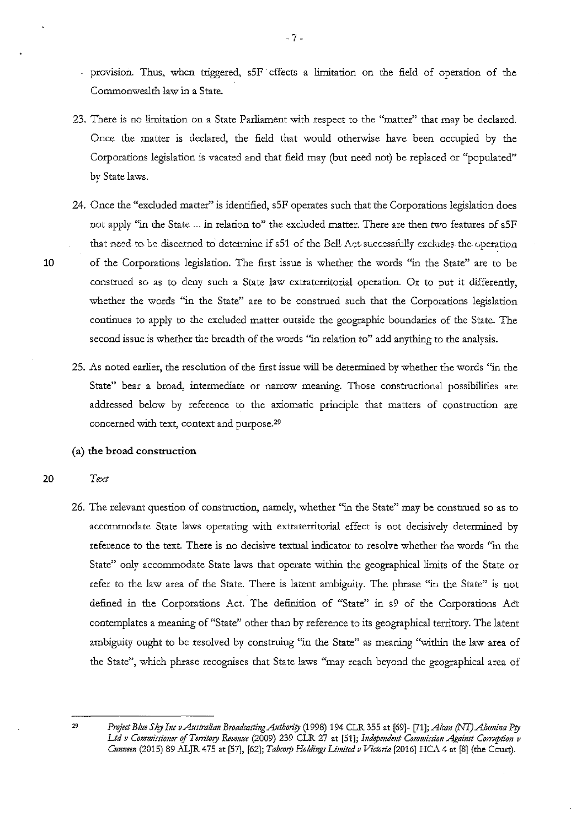- provision. Thus, when triggered, s5F effects a limitation on the field of operation of the Commonwealth law in a State.
- 23. There is no limitation on a State Parliament with respect to the "matter" that may be declared. Once the matter is declared, the field that would otherwise have been occupied by the Corporations legislation is vacated and that field may (but need not) be replaced or "populated" by State laws.
- 24. Once the "excluded matter" is identified, sSF operates such that the Corporations legislation does not apply "in the State ... in relation to" the excluded matter. There are then two features of sSF that need to be discerned to determine if s51 of the Bell Act successfully excludes the operation 10 of the Corporations legislation. The first issue is whether the words "in the State" are to be construed so as to deny such a State law extraterritorial operation. Or to put it differently, whether the words "in the State" are to be construed such that the Corporations legislation continues to apply to the excluded matter outside the geographic boundaries of the State. The second issue is whether the breadth of the words "in relation to" add anything to the analysis.
	- 25. As noted earlier, the resolution of the first issue will be determined by whether the words "in the State" bear a broad, intermediate or narrow meaning. Those constructional possibilities are addressed below by reference to the axiomatic principle that matters of construction are concerned with text, context and purpose.29

### **(a) the broad construction**

- 20 *Text* 
	- 26. The relevant question of construction, namely, whether "in the State" may be construed so as to accommodate State laws operating with extraterritorial effect is not decisively determined by reference to the text. There is no decisive textual indicator to resolve whether the words "in the State" only accommodate State laws that operate within the geographical limits of the State or refer to the law area of the State. There is latent ambiguity. The phrase "in the State" is not defined in the Corporations Act. The definition of "State" in s9 of the Corporations Act contemplates a meaning of "State" other than by reference to its geographical territory. The latent ambiguity ought to be resolved by construing "in the State" as meaning "within the law area of the State", which phrase recognises that State laws "may reach beyond the geographical area of

*Project Blue Sky Iac vAustra!iaa BroadcastiagAuthority* (1998) 194 CLR 355 at [69]- [71]; *Alcaa (NT)Aiumiaa Pty Ltd v Commissioner* of *Territory Revenue* (2009) 239 CLR 27 at [51]; *btdepmdeat Commissioa Agaiast Comtptioa v Cmmeea* (2015) 89 .ALJR 475 at [57], [62]; *Tabcorp Holdiags Limited v Victoria* [2016] HCA 4 at [8] (the Court).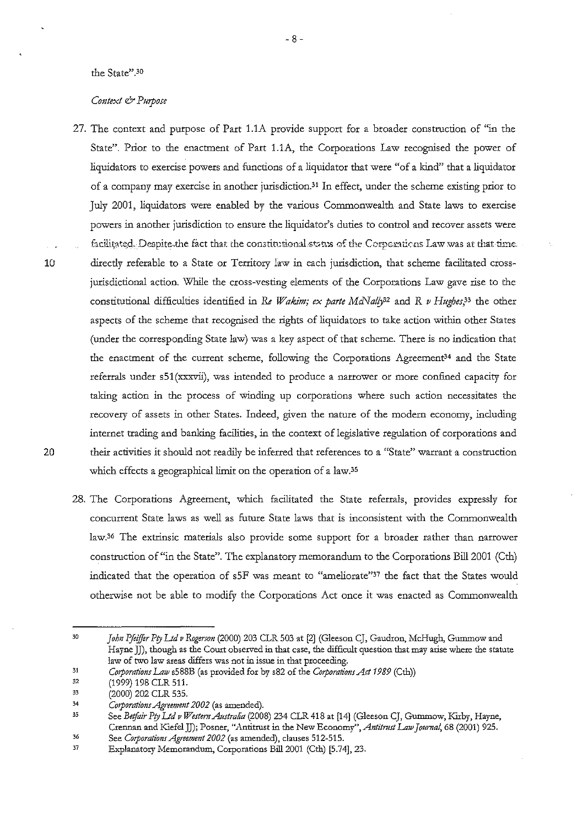#### **the State" .3D**

### *Context* & *Purpose*

- 27. The context and purpose of Part 1.1A provide support for a broader construction of "in the State". Prior to the enactment of Part 1.1A, the Corporations Law recognised the power of liquidators to exercise powers and functions of a liquidator that were "of a kind" that a liquidator of a company may exercise in another jurisdiction.31 In effect, under the scheme existing prior to July 2001, liquidators were enabled by the various Commonwealth and State laws to exercise powers in another jurisdiction to ensure the liquidator's duties to control and recover assets were facilitated. Despite the fact that the constitutional status of the Corporations Law was at that time. 10 directly referable to a State or Territory law in each jurisdiction, that scheme facilitated crossjurisdictional action. While the cross-vesting elements of the Corporations Law gave rise to the constitutional difficulties identified in *Re Wakim; ex parte MCNaf/j2* and *R v Hughes,33* the other aspects of the scheme that recognised the rights of liquidators to take action within other States (under the corresponding State law) was a key aspect of that scheme. There is no indication that the enactment of the current scheme, following the Corporations Agreement<sup>34</sup> and the State referrals under s51 (xxxvii), was intended to produce a narrower or more confined capacity for taking action in the process of winding up corporations where such action necessitates the recovery of assets in other States. Indeed, given the nature of the modern economy, including internet trading and banking facilities, in the context of legislative regulation of corporations and 20 their activities it should not readily be inferred that references to a "State" warrant a construction which effects a geographical limit on the operation of a law.<sup>35</sup>
	- 28. The Corporations Agreement, which facilitated the State referrals, provides expressly for concurrent State laws as well as future State laws that is inconsistent with the Commonwealth law.36 The extrinsic materials also provide some support for a broader rather than narrower construction of "in the State". The explanatory memorandum to the Corporations Bill 2001 (Cth) indicated that the operation of sSF was meant to "ameliorate"37 the fact that the States would otherwise not be able to modify the Corporations Act once it was enacted as Commonwealth

<sup>30</sup>  *John Pfeiffer Pty Ltd v Rogerson* (2000) 203 CLR 503 at [2] (Gleeson CJ, Gaudron, McHugh, Gummow and **Hayne** *]]),* **though as the Court observed in that case, the difficult question that may arise where the statute law of two law areas differs was not in issue in that proceeding.** 

<sup>31</sup>  *Corporations Latv* s588B (as provided for by s82 of the *Corporations Act 1989* (Cth))

<sup>32</sup>  (1999) 198 CLR 511.

<sup>33</sup>  (2000) 202 CLR 535.

<sup>34</sup>  *Corporatio11s .Ag;·eemmt 2002* (as amended).

 $35$ See *Betfair Pty Ltd v Western Australia* (2008) 234 CLR 418 at [14] (Gleeson CJ, Gummow, Kirby, Hayne, Crennan and Kiefe!JJ); Posner, "Antitrust in the New *Economy",Antitmst Latv journal,* 68 (2001) 925. 36

See *Corporations Agreement 2002* (as amended), clauses 512-515.

<sup>37</sup>  Explanatory Memorandum, Corporations Bill2001 (Cth) [5.74], 23.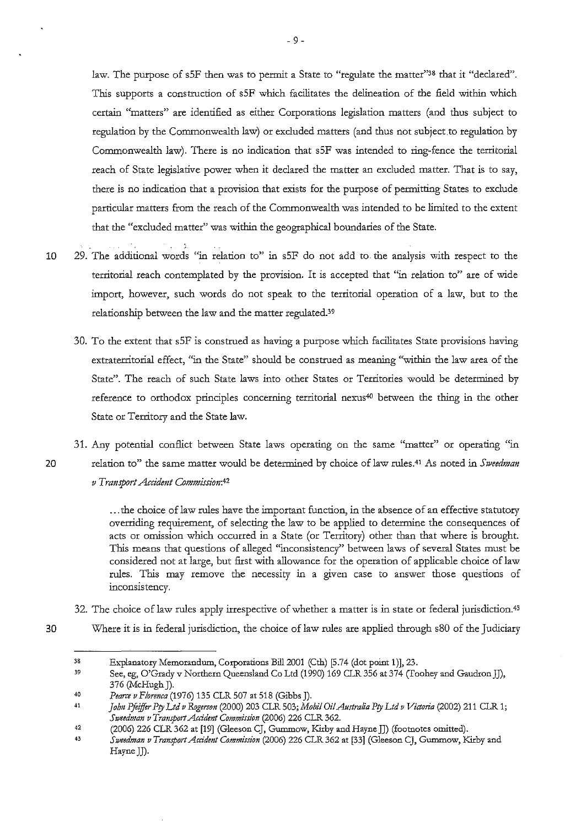law. The purpose of s5F then was to permit a State to "regulate the matter"<sup>38</sup> that it "declared". This supports a construction of sSF which facilitates the delineation of the field within which certain "matters" are identified as either Corporations legislation matters (and thus subject to regulation by the Commonwealth law) or excluded matters (and thus not subject to regulation by Commonwealth law). There is no indication that sSF was intended to ring-fence the territorial reach of State legislative power when it declared the matter an excluded matter. That is to say, there is no indication that a provision that exists for the purpose of permitting States to exclude particular matters from the reach of the Commonwealth was intended to be limited to the extent that the "excluded matter" was within the geographical boundaries of the State.

- 10 29. The additional words "in relation to" in s5F do not add to the analysis with respect to the territorial reach contemplated by the provision. It is accepted that "in relation to" are of wide import, however, such words do not speak to the territorial operation of a law, but to the relationship between the law and the matter regulated.39
	- 30. To the extent that sSF is construed as having a purpose which facilitates State provisions having extraterritorial effect, "in the State" should be construed as meaning "within the law area of the State". The reach of such State laws into other States or Territories would be determined by reference to orthodox principles concerning territorial nexus<sup>40</sup> between the thing in the other State or Territory and the State law.
- 31. Any potential conflict between State laws operating on the same "matter" or operating "in 20 relation to" the same matter would be determined by choice of law rules.<sup>41</sup> As noted in *Sweedman v* Transport Accident Commission:42

... the choice of law rules have the important function, in the absence of an effective statutory overriding requirement, of selecting the law to be applied to determine the consequences of acts or omission which occurred in a State (or Territory) other than that where is brought. This means that questions of alleged "inconsistency" between laws of several States must be considered not at large, but first with allowance for the operation of applicable choice of law rules. This may remove the necessity in a given case to answer those questions of inconsistency.

- 32. The choice of law rules apply irrespective of whether a matter is in state or federal jurisdiction.<sup>43</sup>
- 30 Where it is in federal jurisdiction, the choice of law rules are applied through s80 of the Judiciary

<sup>38</sup>  Explanatory Memorandum, Corporations Bill 2001 (Cth) [5.74 (dot point 1)], 23.

<sup>39</sup>  See, eg, O'Grady v Northern Queensland Co Ltd (1990) 169 CLR 356 at 374 (Toohey and Gaudron JJ), 376 (McHugh J).

<sup>40</sup>  *Pearce v F/omzca* (1976) 135 CLR 507 at 518 (Gibbs J).

<sup>41</sup>  *joh11 Pfeiffer Pty Ltd v Rrzgerso11* (2000) 203 CLR 503; *Mobi/ Oil .Australia Pty Ltd v Victoria* (2002) 211 CLR 1; Sweedman v Transport Accident Commission (2006) 226 CLR 362.

<sup>42</sup>  (2006) 226 CLR 362 at [19] (Gleeson CJ, Gummow, Kirby and Hayne JJ) (footnotes omitted).

<sup>43</sup>  *Szveedma11 v Trazzsport Accidmt Commissi011* (2006) 226 CLR 362 at [33] (Gleeson CJ, Gummow, KU:by and Hayne JJ).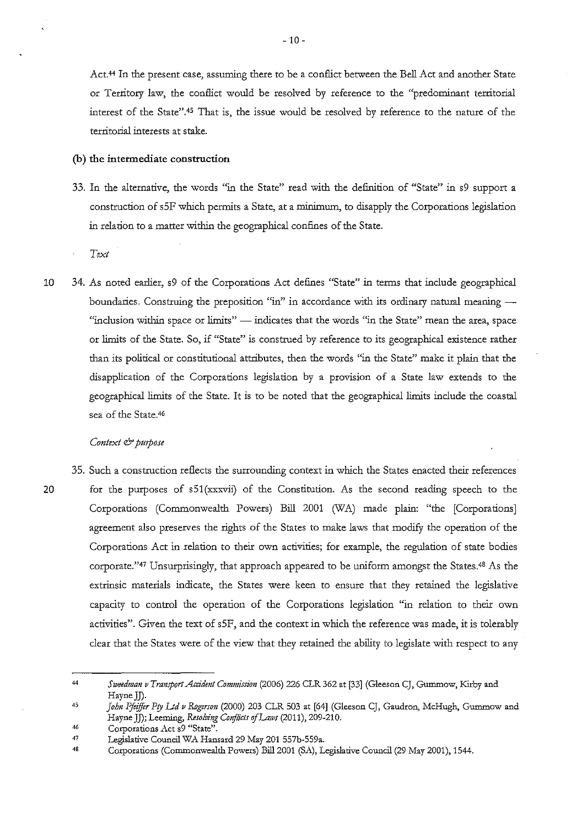Act.<sup>44</sup> In the present case, assuming there to be a conflict between the Bell Act and another State or Territory law, the conflict would be resolved by reference to the "predominant territorial interest of the State".45 That is, the issue would be resolved by reference to the nature of the territorial interests at stake.

### **(b) the intermediate construction**

33. In the alternative, the words "in the State" read with the definition of "State" in s9 support a construction of sSF which permits a State, at a minimum, to disapply the Corporations legislation in relation to a matter within the geographical confines of the State.

*Text* 

10 34. As noted earlier, s9 of the Corporations Act defines "State" in terms that include geographical boundaries. Construing the preposition "in" in accordance with its ordinary natural meaning -"inclusion within space or limits" - indicates that the words "in the State" mean the area, space or limits of the State. So, if "State" is construed by reference to its geographical existence rather than its political or constitutional attributes, then the words "in the State" make it plain that the disapplication of the Corporations legislation by a provision of a State law extends to the geographical limits of the State. It is to be noted that the geographical limits include the coastal sea of the State.46

#### *Context* & *pU1pose*

<sup>35.</sup> Such a construction reflects the surrounding context in which the States enacted their references 20 for the purposes of s51(xxxvii) of the Constitution. As the second reading speech to the Corporations (Commonwealth Powers) Bill 2001 (WA) made plain: "the [Corporations] agreement also preserves the rights of the States to make laws that modify the operation of the Corporations Act in relation to their own activities; for example, the regulation of state bodies corporate."47 Unsurprisingly, that approach appeared to be uniform amongst the States.48 As the extrinsic materials indicate, the States were keen to ensure that they retained the legislative capacity to control the operation of the Corporations legislation "in relation to their own activities". Given the text of sSF, and the context in which the reference was made, it is tolerably clear that the States were of the view that they retained the ability to legislate with respect to any

<sup>44</sup>  *Sweedman v TransportAccidmt Commission* (2006) 226 CLR 362 at [33] (Gleeson CJ, Gummow, Kirby and HayneJJ).

<sup>45</sup>  *John Pftiffir Pty I.td v RDgerson* (2000) 203 CLR 503 at [64] (Gleeson CJ, Gaudron, McHugh, Gummow and Hayne JJ); Leeming, *Resolving Conflicts of Laws* (2011), 209-210.

<sup>46</sup>  Corporations Act s<sup>9</sup> "State".

<sup>47</sup>  Legislative Council WA Hansard 29 May 201 557b-559a.

<sup>48</sup>  Corporations (Commonwealth Powers) Bill 2001 (SA), Legislative Council (29 May 2001), 1544.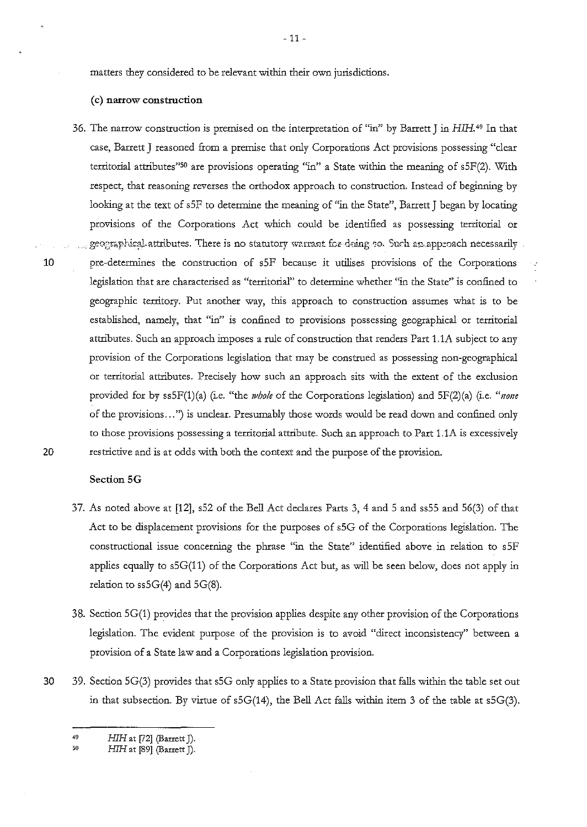matters they considered to be relevant within their own jurisdictions.

#### **(c) narrow construction**

36. The narrow construction is premised on the interpretation of "in" by Barrett J in HIH. 49 In that case, Barrett **J** reasoned from a premise that only Corporations Act provisions possessing "clear territorial attributes"50 are provisions operating "in" a State within the meaning of s5F(2). With respect, that reasoning reverses the orthodox approach to construction. Instead of beginning by looking at the text of s5F to determine the meaning of "in the State", Barrett J began by locating provisions of the Corporations Act which could be identified as possessing territorial or geographical attributes. There is no statutory warrant for doing so. Such an approach necessarily 10 pre-determines the construction of sSF because it utilises provisions of the Corporations legislation that are characterised as "territorial" to determine whether "in the State" is confined to geographic territory. Put another way, this approach to construction assumes what is to be established, namely, that "in" is confined to provisions possessing geographical or territorial attributes. Such an approach imposes a rule of construction that renders Part 1.1A subject to any provision of the Corporations legislation that may be construed as possessing non-geographical or territorial attributes. Precisely how such an approach sits with the extent of the exclusion provided for by ss5F(1)(a) (i.e. "the *whole* of the Corporations legislation) and 5F(2)(a) (i.e. "none of the provisions ... ") is unclear. Presumably those words would be read down and confined only to those provisions possessing a territorial attribute. Such an approach to Part l.lA is excessively 20 restrictive and is at odds with both the context and the purpose of the provision.

#### **Section5G**

- 37. As noted above at **[12],** s52 of the Bell Act declares Parts 3, 4 and 5 and ss55 and 56(3) of that Act to be displacement provisions for the purposes of s5G of the Corporations legislation. The constructional issue concerning the phrase "in the State" identified above in relation to sSF applies equally to s5G(11) of the Corporations Act but, as will be seen below, does not apply in relation to ss5G(4) and 5G(8).
- 38. Section SG(l) provides that the provision applies despite any other provision of the Corporations legislation. The evident purpose of the provision is to avoid "direct inconsistency" between a provision of a State law and a Corporations legislation provision.
- 30 39. Section SG(3) provides that s5G only applies to a State provision that falls within the table set out in that subsection. By virtue of s5G(14), the Bell Act falls within item 3 of the table at s5G(3).

<sup>49</sup>  HIH at [72] (Barrett J).

 ${\bf 50}$ *H1H* at [89] (Barrett J).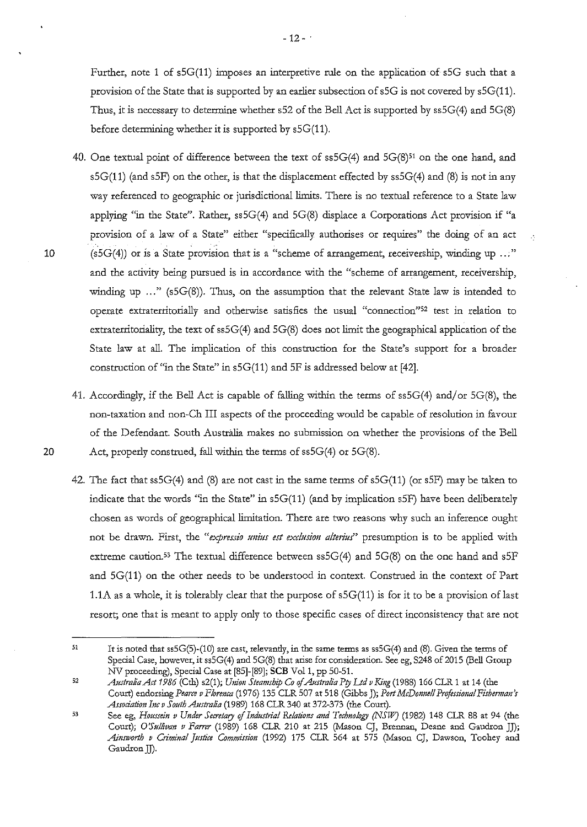Further, note **1** of sSG(ll) imposes an interpretive rule on the application of sSG such that a provision of the State that is supported by an earlier subsection of sSG is not covered by sSG(ll). Thus, it is necessary to determine whether s52 of the Bell Act is supported by ss5G(4) and SG(S) before determining whether it is supported by s5G(11).

40. One textual point of difference between the text of ss5G(4) and 5G(8)<sup>51</sup> on the one hand, and  $s5G(11)$  (and  $s5F$ ) on the other, is that the displacement effected by  $ss5G(4)$  and (8) is not in any way referenced to geographic or jurisdictional limits. There is no textual reference to a State law applying "in the State". Rather, ss5G(4) and SG(8) displace a Corporations Act provision if "a provision of a law of a State" either "specifically authorises or requires" the doing of an act 10 (s5G(4)) or is a State provision that is a "scheme of arrangement, receivership, winding up .. :" and the activity being pursued is in accordance with the "scheme of arrangement, receivership, winding up ..." (s5G(8)). Thus, on the assumption that the relevant State law is intended to **operate extraterritorially and otherwise satisfies the usual "connection"52 test in relation to**  extraterritoriality, the text of ss5G(4) and 5G(8) does not limit the geographical application of the State law at all. The implication of this construction for the State's support for a broader construction of "in the State" in sSG(ll) and SF is addressed below at [42].

J.

- 41. Accordingly, if the Bell Act is capable of falling within the terms of  $\text{ss5G}(4)$  and/or  $\text{5G}(8)$ , the non-taxation and non-Ch III aspects of the proceeding would be capable of resolution in favour of the Defendant. South Australia makes no submission on whether the provisions of the Bell 20 Act, properly construed, fall within the terms of ss5G(4) or 5G(8).
	- 42. The fact that ss5G(4) and (8) are not cast in the same terms of sSG(ll) (or sSF) may be taken to indicate that the words "in the State" in s5G(11) (and by implication s5F) have been deliberately chosen as words of geographical limitation. There are two reasons why such an inference ought not be drawn. First, the "expressio unius est exclusion alterius" presumption is to be applied with extreme caution.<sup>53</sup> The textual difference between  $ss5G(4)$  and  $5G(8)$  on the one hand and  $s5F$ and SG(11) on the other needs to be understood in context. Construed in the context of Part 1.1A as a whole, it is tolerably clear that the purpose of s5G(11) is for it to be a provision of last resort; one that is meant to apply only to those specific cases of direct inconsistency that are not

<sup>51</sup> It is noted that ss5G(5)-(10) are cast, relevandy, in the same terms as ss5G(4) and (8). Given the terms of Special Case, however, it ss5G(4) and 5G(8) that arise for consideration. See eg, S248 of 2015 (Bell Group NV proceeding), Special Case at [85]-[89]; **SCB** Vol1, pp 50-51.

 $52\,$ *Australia Act 1986* (Cth) s2(1); *Union Steamship Co of Australia P!JI Ltd v King* (1988) 166 CLR 1 at 14 (the Court) endorsing *Pearce v Fhrmca* (197 6) 135 CLR 507 at 518 (Gihbs J); *Port McDonne/1 Professional Fisherman's*  Association Inc v South Australia (1989) 168 CLR 340 at 372-373 (the Court).

See eg, *Houssein v Under Secretary of Industrial Relations and Technology (NSW)* (1982) 148 CLR 88 at 94 (the 53 Court); *O'Sullivan v Farrer* (1989) 168 CLR 210 at 215 (Mason CJ, Brennan, Deane and Gaudron JJ); *Ainstvorth v Criminal Justice Commission* (1992) 175 CLR 564 at 575 (Mason CJ, Dawson, Toohey and Gaudron JJ).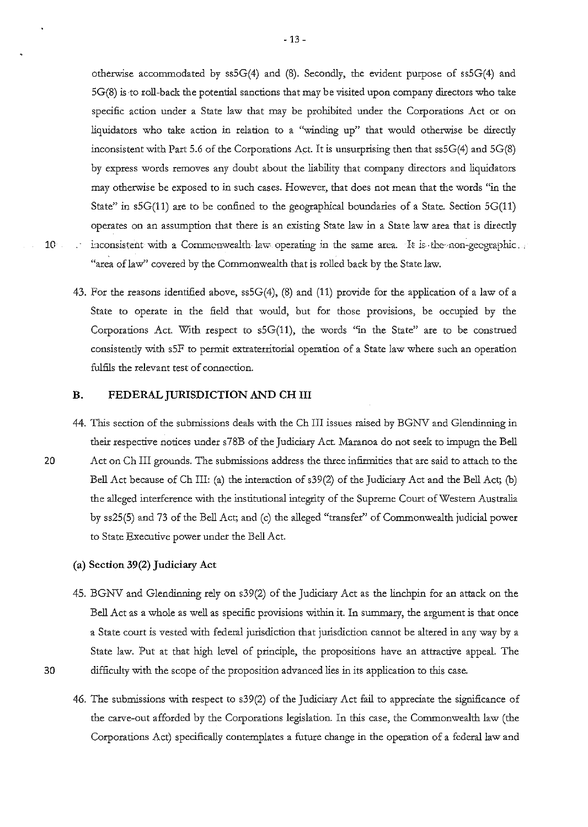otherwise accommodated by ss5G(4) and (8). Secondly, the evident purpose of ss5G(4) and 5G(8) is ·to roll-back the potential sanctions that may be visited upon company directors who take specific action under a State law that may be prohibited under the Corporations Act or on liquidators who take action in relation to a "winding up" that would otherwise be directly inconsistent with Part 5.6 of the Corporations Act. It is unsurprising then that ss5G(4) and 5G(8) by express words removes any doubt about the liability that company directors and liquidators may otherwise be exposed to in such cases. However, that does not mean that the words "in the State" in  $5G(11)$  are to be confined to the geographical boundaries of a State. Section  $5G(11)$ operates on an assumption that there is an existing State law in a State law area that is directly 10 inconsistent with a Commonwealth law operating in the same area. It is the non-geographic. "area of law" covered by the Commonwealth that is rolled back by the State law.

43. For the reasons identified above, ss5G(4), (8) and (11) provide for the application of a law of a State to operate in the field that would, but for those provisions, be occupied by the Corporations Act. With respect to  $s5G(11)$ , the words "in the State" are to be construed consistently with sSF to permit extraterritorial operation of a State law where such an operation fulfils the relevant test of connection.

#### **B. FEDERAL JURISDICTION AND CH III**

44. This section of the submissions deals with the Ch III issues raised by BGNV and Glendinning in their respective notices under s 78B of the Judiciary Act. Maranoa do not seek to impugo the Bell 20 Act on Ch III grounds. The submissions address the three infirmities that are said to attach to the Bell Act because of Ch III: (a) the interaction of s39(2) of the Judiciary Act and the Bell Act; (b) the alleged interference with the institutional integrity of the Supreme Court of Western Australia by ss25(5) and 73 of the Bell Act; and (c) the alleged "transfer" of Commonwealth judicial power to State Executive power under the Bell Act.

# (a) **Section 39(2) Judiciary Act**

- 45. BGNV and Glendinning rely on s39(2) of the Judiciary Act as the linchpin for an attack on the Bell Act as a whole as well as specific provisions within it. In summary, the argument is that once a State court is vested with federal jurisdiction that jurisdiction cannot be altered in any way by a State law. Put at that high level of principle, the propositions have an attractive appeal. The 30 difficulty with the scope of the proposition advanced lies in its application to this case.
- 
- 46. The submissions with respect to s39(2) of the Judiciary Act fail to appreciate the significance of the carve-out afforded by the Corporations legislation. In this case, the Commonwealth law (the Corporations Act) specifically contemplates a future change in the operation of a federal law and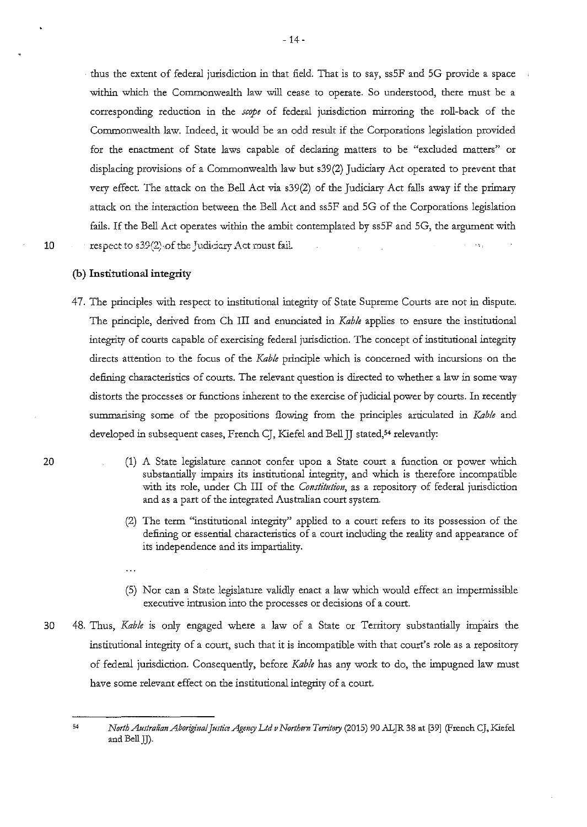· thus the extent of federal jurisdiction in that field. That is to say, ssSF and SG provide a space within which the Commonwealth law will cease to operate. So understood, there must be a corresponding reduction in the *scope* of federal jurisdiction mirroring the roll-back of the Commonwealth law. Indeed, it would be an odd result if the Corporations legislation provided for the enactment of State laws capable of declaring matters to be "excluded matters" or displacing provisions of a Commonwealth law but s39(2) Judiciary Act operated to prevent that very effect. The attack on the Bell Act via s39(2) of the Judiciary Act falls away if the primary attack on the interaction between the Bell Act and ssSF and SG of the Corporations legislation fails. If the Bell Act operates within the ambit contemplated by ssSF and SG, the argument with **10** respect to s39(2) of the Judiciary Act must fail.  $\sim$   $\sim$ 

20

### **(b) Institutional integrity**

 $\ddotsc$ 

- 47. The principles with respect to institutional integrity of State Supreme Courts are not in dispute. The principle, derived from Ch III and enunciated in *Kab!e* applies to ensure the institutional integrity of courts capable of exercising federal jurisdiction. The concept of institutional integrity directs attention to the focus of the *Kab!e* principle which is concerned with incursions on the defining characteristics of courts. The relevant question is directed to whether a law in some way distorts the processes or functions inherent to the exercise of judicial power by courts. In recendy summarising some of the propositions flowing from the principles articulated in *Kab!e* and developed in subsequent cases, French CJ, Kiefel and Bell JJ stated,<sup>54</sup> relevantly:
	- (1) A State legislature cannot confer upon a State court a function or power which substantially impairs its institutional integrity, and which is therefore incompatible with its role, under Ch III of the *Constitution,* as a repository of federal jurisdiction and as a part of the integrated Australian court system.
		- (2) The term "institutional integrity" applied to a court refers to its possession of the defining or essential characteristics of a court including the reality and appearance of its independence and its impartiality.
		- (5) Nor can a State legislature validly enact a law which would effect an impermissible executive intrusion into the processes or decisions of a court.
- 30 48. Thus, *Kable* is only engaged where a law of a State or Territory substantially impairs the institutional integrity of a court, such that it is incompatible with that court's role as a repository of federal jurisdiction. Consequendy, before *Kab!e* has any work to do, the impugned law must have some relevant effect on the institutional integrity of a court.

<sup>;,</sup> *North Australian Aboriginal Justice Agency Ltd v Northern Tenitory* (2015) 90 ALJR 38 at [39] (French CJ, Kiefel and Bell JJ).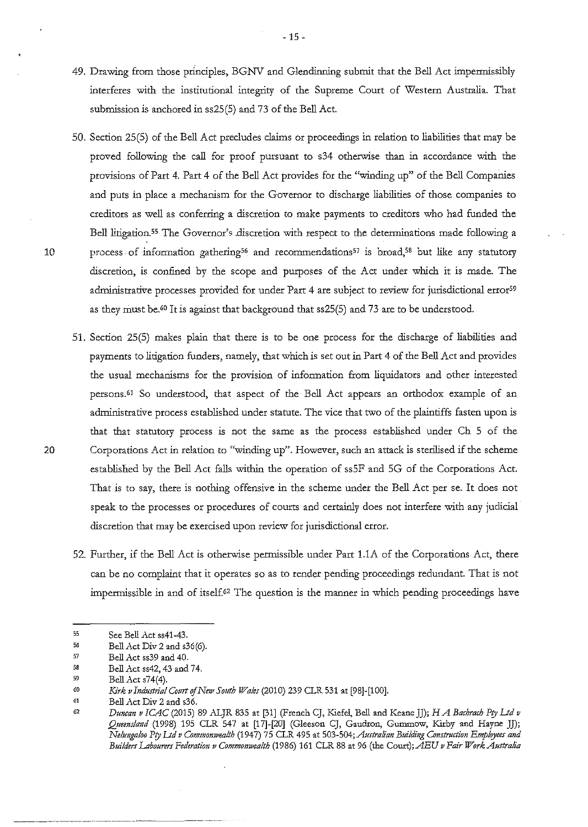- 49. Drawing from those principles, BGNV and Glendinning submit that the Bell Act impermissibly interferes with the institutional integrity of the Supreme Court of Western Australia. That submission is anchored in ss25(5) and 73 of the Bell Act.
- 50. Section 25(5) of the Bell Act precludes claims or proceediogs io relation to liabilities that may be proved following the call for proof pursuant to s34 otherwise than in accordance with the provisions of Part 4. Part 4 of the Bell Act provides for the "windiog up" of the Bell Companies and puts in place a mechanism for the Governor to discharge liabilities of those companies to creditors as well as conferring a discretion to make payments to creditors who had funded the Bell litigation.<sup>55</sup> The Governor's .discretion with respect to the determinations made following a 10 process of information gathering<sup>56</sup> and recommendations<sup>57</sup> is broad,<sup>58</sup> but like any statutory discretion, is confined by the scope and purposes of the Act under which it is made. The administrative processes provided for under Part 4 are subject to review for jurisdictional error<sup>59</sup> as they must be.<sup>60</sup> It is against that background that ss25(5) and 73 are to be understood.
- 51. Section 25(5) makes plaio that there is to be one process for the discharge of liabilities and payments to litigation funders, namely, that which is set out in Part 4 of the Bell Act and provides the usual mechanisms for the provision of information from liquidators and other interested persons.<sup>61</sup> So understood, that aspect of the Bell Act appears an orthodox example of an administrative process established under statute. The vice that two of the plaintiffs fasten upon is that that statutory process is not the same as the process established under Ch 5 of the 20 Corporations Act in relation to "winding up". However, such an attack is sterilised if the scheme established by the Bell Act falls withio the operation of ss5F and 5G of the Corporations Act. That is to say, there is nothing offensive in the scheme under the Bell Act per se. It does not speak to the processes or procedures of courts and certainly does not interfere with any judicial discretion that may be exercised upon review for jurisdictional error.
	- 52. Further, if the Bell Act is otherwise permissible under Part 1.1A of the Corporations Act, there can be no complaint that it operates so as to render pending proceedings redundant. That is not impermissible in and of itself.<sup>62</sup> The question is the manner in which pending proceedings have

<sup>55</sup>  See Bell Act ss41-43.

<sup>56</sup>  Bell Act Div 2 and s36(6).

<sup>57</sup>  58 Bell Act ss39 and 40.

<sup>59</sup>  Bell Act ss42, 43 and 74. Bell  $Acts74(4)$ .

<sup>60</sup>  Kirk v Industrial Court of New South Wales (2010) 239 CLR 531 at [98]-[100].

<sup>61</sup>  Bell Act Div 2 and s36.

<sup>62</sup>  *Duncan v ICAC (2015) 89 ALJR 835 at [31] (French CJ, Kiefel, Bell and Keane JJ); <i>H A Bachrach Pty Ltd v Queenslm1d* (1998) 195 CLR 547 at [17]-[20] (Gleeson CJ, Gaudron, Gummow, Kirby and Hayne JJ); *Nelungaloo Pty Ltd v Commonwealth* (1947) 75 CLR 495 at 503-504; *Australian Building Construction Employees and Builders Labourers Federati011 v Commomvealth* (1986) 161 CLR 88 at 96 (the Court); *AEU v Fair Work Australia*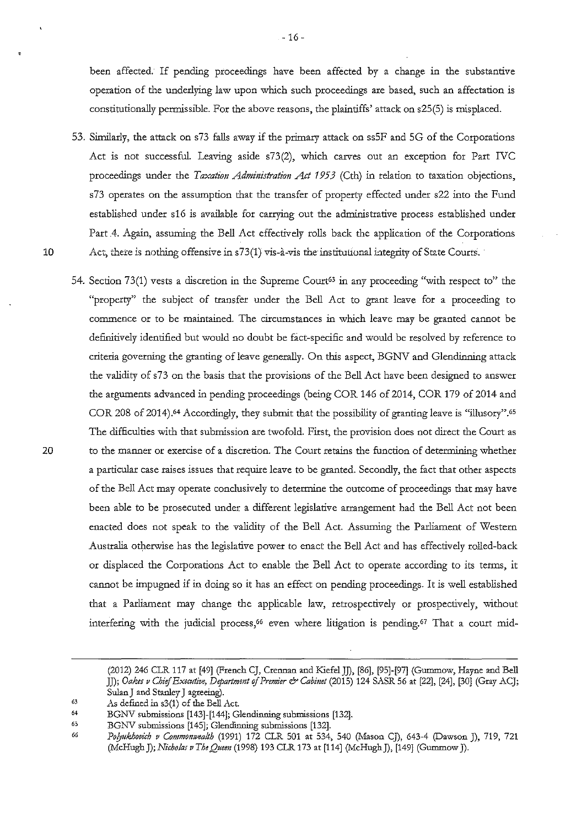been affected. If pending proceedings have been affected by a change in the substantive operation of tbe underlying law upon which such proceedings are based, such an affectation is constitutionally permissible. For the above reasons, the plaintiffs' attack on s25(5) is misplaced.

- 53. Similarly, the attack on s73 falls away if the primary attack on ss5F and 5G of the Corporations Act is not successful. Leaving aside s73(2), which carves out an exception for Part IVC proceedings under the *Taxation Administration Act 1953* (Cth) in relation to taxation objections, s73 operates on the assumption that the transfer of property effected under s22 into the Fund established under s16 is available for carrying out the administrative process established under Part 4. Again, assuming the Bell Act effectively rolls back the application of the Corporations 10 Act, there is nothing offensive in s73(1) vis-à-vis the institutional integrity of State Courts.
- 54. Section 73(1) vests a discretion in the Supreme Court<sup>63</sup> in any proceeding "with respect to" the "property" the subject of transfer under the Bell Act to grant leave for a proceeding to commence or to be maintained. The circumstances in which leave may be granted cannot be definitively identified but would no doubt be fact-specific and would be resolved by reference to criteria governing tbe granting of leave generally. On this aspect, BGNV and Glendinning attack the validity of s73 on the basis that the provisions of the Bell Act have been designed to answer tbe arguments advanced in pending proceedings (being COR 146 of 2014, COR 179 of 2014 and COR 208 of 2014).<sup>64</sup> Accordingly, they submit that the possibility of granting leave is "illusory".<sup>65</sup> The difficulties with that submission are twofold. First, the provision does not direct the Court as 20 to the manner or exercise of a discretion. The Court retains the function of determining whether a particular case raises issues that require leave to be granted. Secondly, the fact that other aspects of the Bell Act may operate conclusively to determine the outcome of proceedings that may have been able to be prosecuted under a different legislative arrangement had the Bell Act not been enacted does not speak to the validity of the Bell Act. Assuming the Parliament of Western Australia otherwise has the legislative power to enact the Bell Act and has effectively rolled-back or displaced tbe Corporations Act to enable tbe Bell Act to operate according to its terms, it cannot be impugned if in doing so it has an effect on pending proceedings. It is well established tbat a Parliament may change tbe applicable law, retrospectively or prospectively, witbout interfering with the judicial process,<sup>66</sup> even where litigation is pending.<sup>67</sup> That a court mid-

<sup>(2012) 246</sup> CLR 117 at [49] (French CJ, Crennan and KiefelJJ), [86], [95]-[97] (Gummow, Hayne and Bell *]]); Oakes v Chief Executive, Departmmt of Premier* & *Cabinet* (2015) 124 SASR 56 at [22], [24], [30] (Gray ACJ; SulanJ and Stanley J agreeing).

<sup>63</sup>  **As defined in s3(1) of the Bell Act.** 

<sup>64</sup>  BGNV submissions [143]-[144]; Glendinning submissions [132].

<sup>65&</sup>lt;br>66 BGNV submissions [145]; Glendinning submissions [132].

*Po!yukhovich v Commonwealth* (1991) 172 CLR 501 at 534, 540 (Mason CJ), 643-4 (Dawson J), 719, 721 *(McHughJ);Nicho/asvTheQuem(1998)* 193 CLR 173 at [114] (McHughJ), [149] (GummowJ).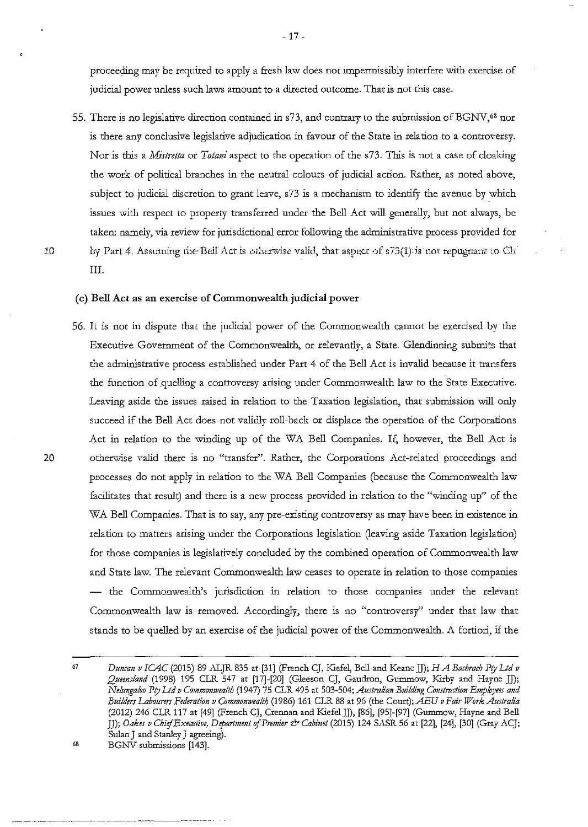proceeding may be required to apply a fresh law does not impermissibly interfere with exercise of judicial power unless such laws amount to a directed outcome. That is not this case.

55. There is no legislative direction contained in s73, and contrary to the submission of BGNV.<sup>68</sup> nor is there any conclusive legislative adjudication in favour of the State in relation to a controversy. Nor is this a *Mistretta* or *Totani* aspect to the operation of the s73. This is not a case of cloaking the work of political branches in the neutral colours of judicial action. Rather, as noted above, subject to judicial discretion to grant leave, s73 is a mechanism to identify the avenue by which issues with respect to property transferred under the Bell Act will generally, but not always, be taken: namely, via review for jurisdictional error following the administrative process provided for 10 by Part 4. Assuming the Bell Act is otherwise valid, that aspect of s73(1) is not repugnant to Ch III.

#### (c) Bell Act as an exercise of Commonwealth judicial power

56. It is not in dispute that the judicial power of the Commonwealth cannot be exercised by the Executive Government of the Commonwealth, or relevantly, a State. Glendinning submits that the administrative process established under Part 4 of the Bell Act is invalid because it transfers the function of quelling a controversy arising under Commonwealth law to the State Executive. Leaving aside the issues raised in relation to the Taxation legislation, that submission will only succeed if the Bell Act does not validly roll-back or displace the operation of the Corporations Act in relation to the winding up of the WA Bell Companies. If, however, the Bell Act is 20 otherwise valid there is no "transfer". Rather, the Corporations Act-related proceedings and processes do not apply in relation to the WA Bell Companies (because the Commonwealth law facilitates that result) and there is a new process provided in relation to the "winding up" of the WA Bell Companies. That is to say, any pre-existing controversy as may have been in existence in relation to matters arising under the Corporations legislation (leaving aside Taxation legislation) for those companies is legislatively concluded by the combined operation of Commonwealth law and State law. The relevant Commonwealth law ceases to operate in relation to those companies - the Commonwealth's jurisdiction in relation to those companies under the relevant Commonwealth law is removed. Accordingly, there is no "controversy" under that law that stands to be quelled by an exercise of the judicial power of the Commonwealth. A fortiori, if the

<sup>67</sup>*Duncan v ICAC* (2015) 89 ALJR 835 at [31] (French CJ, Kiefel, Bell and Keane JJ); *HA Bachrach Pry Ltd v Queensland* (1998) 195 CLR 547 at [17]-[20] (Gleeson CJ, Gaudron, Gummow, Kirby and Hayne JJ); *Nelungaloo Pry Ltd v Commonwealth* (1947) 75 CLR 495 at 503-504; *Australian Building Construction Employees and Builders Labourers Federation v Commomvealth* (1986) 161 CLR 88 at 96 (the Court); *AEU v Fair Work Australia*  (2012) 246 CLR 117 at [49] (French CJ, Crennan and Kiefel *]]),* [86], [95]-[97] (Gummow, Hayne and Bell JJ); *Oakes v Chief Executive, Department* of *Premier* & *Cabimt* (2015) 124 SASR 56 at [22], [24], [30] (Gray ACJ; Sulan J and Stanley J agreeing).

<sup>&</sup>lt;sup>68</sup> BGNV submissions [143].